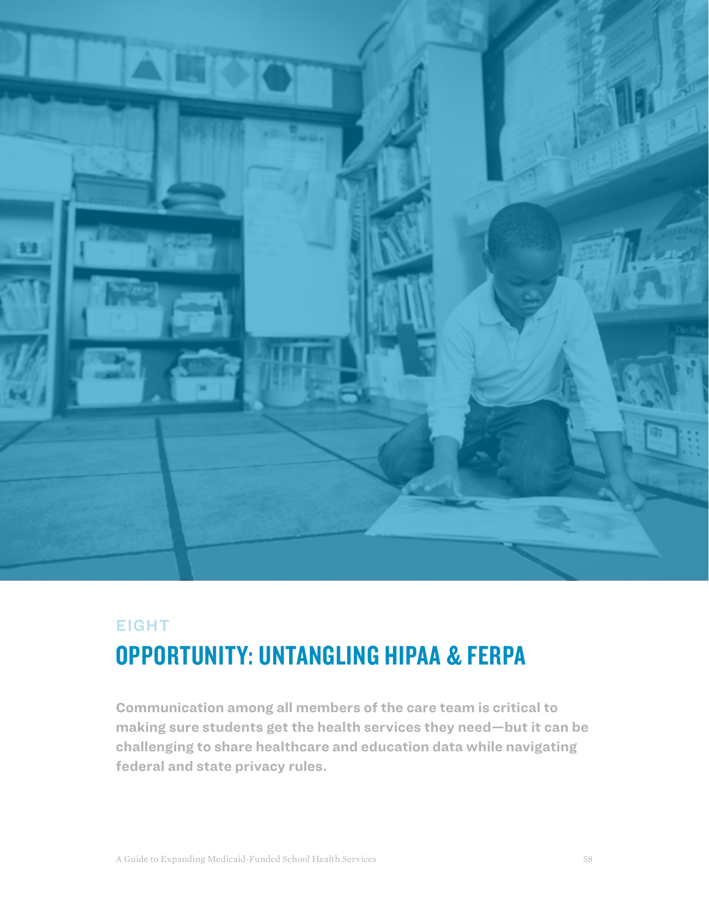

# EIGHT OPPORTUNITY: UNTANGLING HIPAA & FERPA

**Communication among all members of the care team is critical to making sure students get the health services they need—but it can be challenging to share healthcare and education data while navigating federal and state privacy rules.**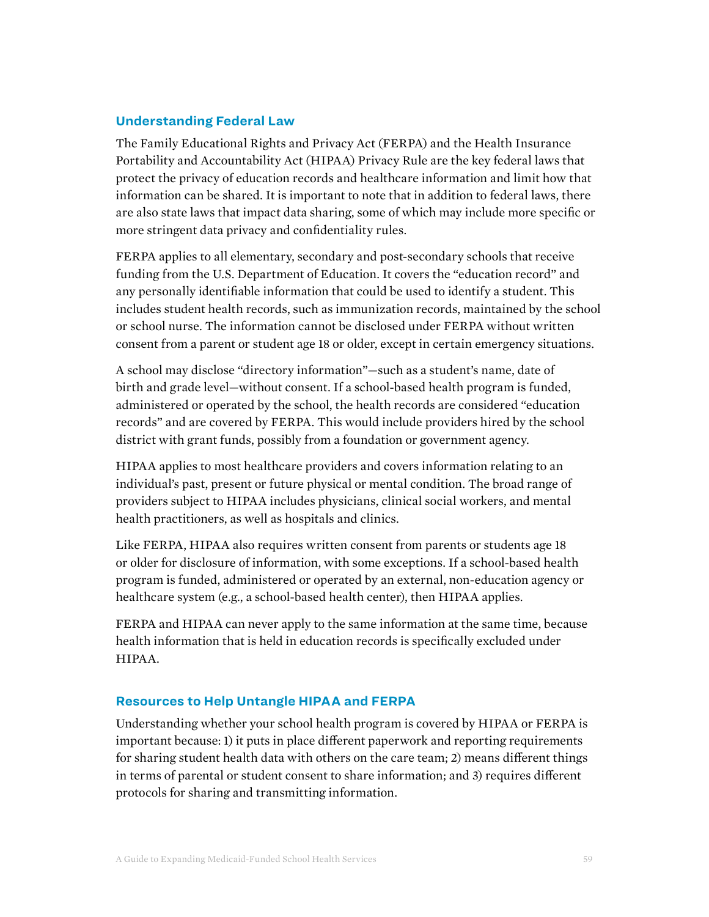### **Understanding Federal Law**

The Family Educational Rights and Privacy Act (FERPA) and the Health Insurance Portability and Accountability Act (HIPAA) Privacy Rule are the key federal laws that protect the privacy of education records and healthcare information and limit how that information can be shared. It is important to note that in addition to federal laws, there are also state laws that impact data sharing, some of which may include more specific or more stringent data privacy and confidentiality rules.

FERPA applies to all elementary, secondary and post-secondary schools that receive funding from the U.S. Department of Education. It covers the "education record" and any personally identifiable information that could be used to identify a student. This includes student health records, such as immunization records, maintained by the school or school nurse. The information cannot be disclosed under FERPA without written consent from a parent or student age 18 or older, except in certain emergency situations.

A school may disclose "directory information"—such as a student's name, date of birth and grade level—without consent. If a school-based health program is funded, administered or operated by the school, the health records are considered "education records" and are covered by FERPA. This would include providers hired by the school district with grant funds, possibly from a foundation or government agency.

HIPAA applies to most healthcare providers and covers information relating to an individual's past, present or future physical or mental condition. The broad range of providers subject to HIPAA includes physicians, clinical social workers, and mental health practitioners, as well as hospitals and clinics.

Like FERPA, HIPAA also requires written consent from parents or students age 18 or older for disclosure of information, with some exceptions. If a school-based health program is funded, administered or operated by an external, non-education agency or healthcare system (e.g., a school-based health center), then HIPAA applies.

FERPA and HIPAA can never apply to the same information at the same time, because health information that is held in education records is specifically excluded under HIPAA.

#### **Resources to Help Untangle HIPAA and FERPA**

Understanding whether your school health program is covered by HIPAA or FERPA is important because: 1) it puts in place different paperwork and reporting requirements for sharing student health data with others on the care team; 2) means different things in terms of parental or student consent to share information; and 3) requires different protocols for sharing and transmitting information.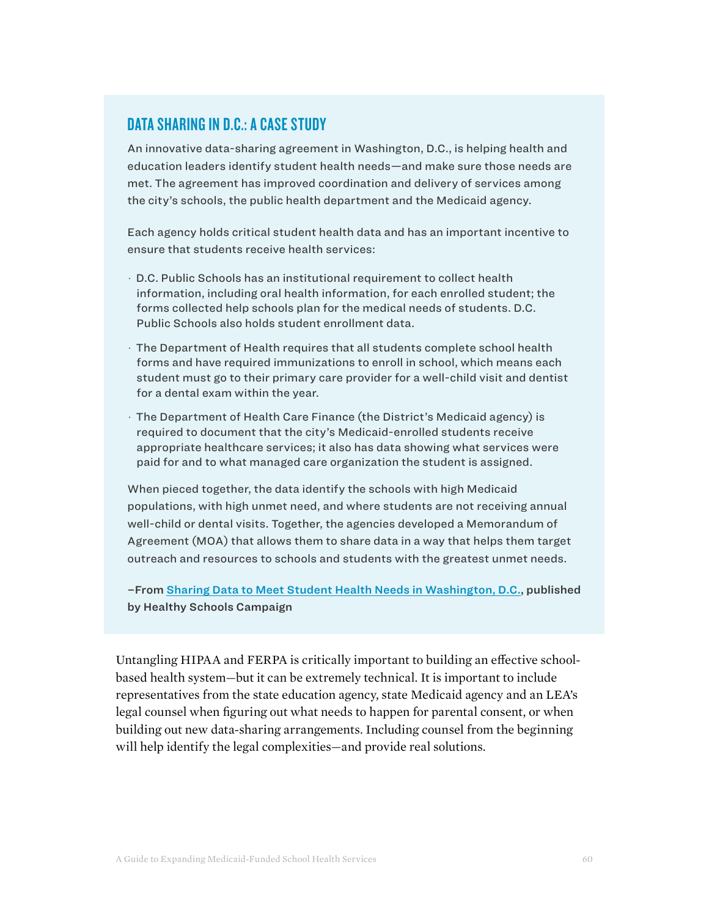# DATA SHARING IN D.C.: A CASE STUDY

An innovative data-sharing agreement in Washington, D.C., is helping health and education leaders identify student health needs—and make sure those needs are met. The agreement has improved coordination and delivery of services among the city's schools, the public health department and the Medicaid agency.

Each agency holds critical student health data and has an important incentive to ensure that students receive health services:

- · D.C. Public Schools has an institutional requirement to collect health information, including oral health information, for each enrolled student; the forms collected help schools plan for the medical needs of students. D.C. Public Schools also holds student enrollment data.
- · The Department of Health requires that all students complete school health forms and have required immunizations to enroll in school, which means each student must go to their primary care provider for a well-child visit and dentist for a dental exam within the year.
- · The Department of Health Care Finance (the District's Medicaid agency) is required to document that the city's Medicaid-enrolled students receive appropriate healthcare services; it also has data showing what services were paid for and to what managed care organization the student is assigned.

When pieced together, the data identify the schools with high Medicaid populations, with high unmet need, and where students are not receiving annual well-child or dental visits. Together, the agencies developed a Memorandum of Agreement (MOA) that allows them to share data in a way that helps them target outreach and resources to schools and students with the greatest unmet needs.

–From [Sharing Data to Meet Student Health Needs](https://healthyschoolscampaign.org/policy/sharing-data-meet-student-health-needs-washington-d-c/) in Washington, D.C., published by Healthy Schools Campaign

Untangling HIPAA and FERPA is critically important to building an effective schoolbased health system—but it can be extremely technical. It is important to include representatives from the state education agency, state Medicaid agency and an LEA's legal counsel when figuring out what needs to happen for parental consent, or when building out new data-sharing arrangements. Including counsel from the beginning will help identify the legal complexities—and provide real solutions.